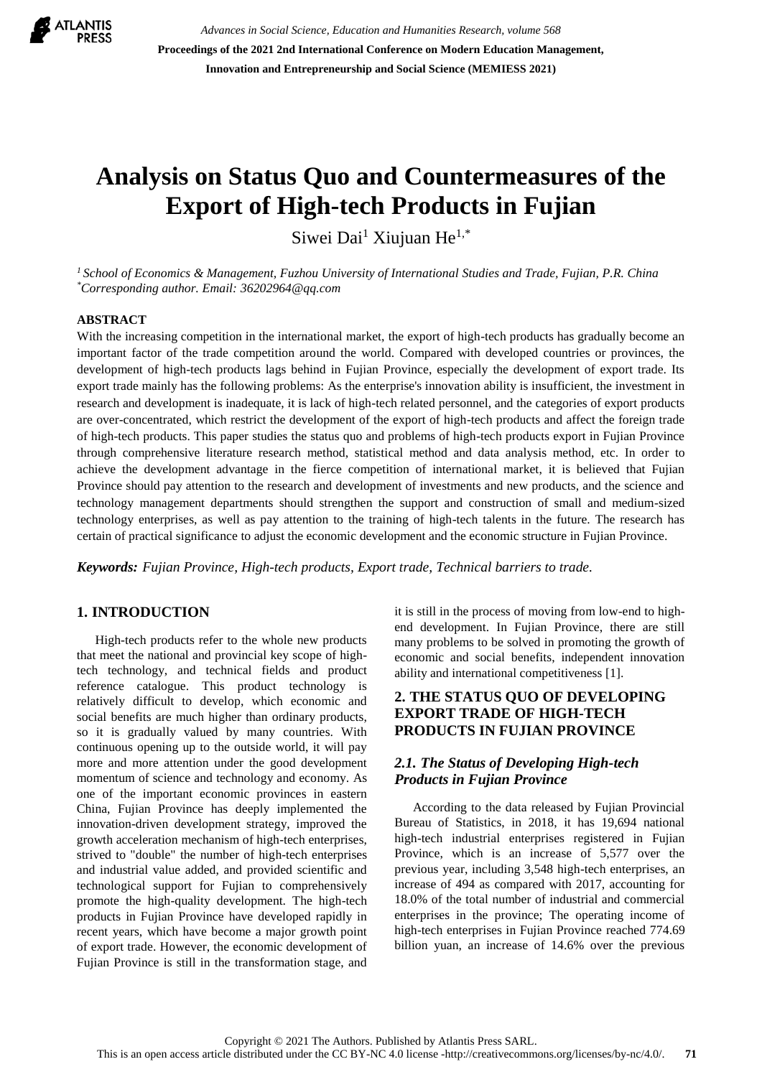

*Advances in Social Science, Education and Humanities Research, volume 568* **Proceedings of the 2021 2nd International Conference on Modern Education Management, Innovation and Entrepreneurship and Social Science (MEMIESS 2021)**

# **Analysis on Status Quo and Countermeasures of the Export of High-tech Products in Fujian**

Siwei Dai<sup>1</sup> Xiujuan He<sup>1,\*</sup>

*<sup>1</sup> School of Economics & Management, Fuzhou University of International Studies and Trade, Fujian, P.R. China \*Corresponding author. Email: 36202964@qq.com*

#### **ABSTRACT**

With the increasing competition in the international market, the export of high-tech products has gradually become an important factor of the trade competition around the world. Compared with developed countries or provinces, the development of high-tech products lags behind in Fujian Province, especially the development of export trade. Its export trade mainly has the following problems: As the enterprise's innovation ability is insufficient, the investment in research and development is inadequate, it is lack of high-tech related personnel, and the categories of export products are over-concentrated, which restrict the development of the export of high-tech products and affect the foreign trade of high-tech products. This paper studies the status quo and problems of high-tech products export in Fujian Province through comprehensive literature research method, statistical method and data analysis method, etc. In order to achieve the development advantage in the fierce competition of international market, it is believed that Fujian Province should pay attention to the research and development of investments and new products, and the science and technology management departments should strengthen the support and construction of small and medium-sized technology enterprises, as well as pay attention to the training of high-tech talents in the future. The research has certain of practical significance to adjust the economic development and the economic structure in Fujian Province.

*Keywords: Fujian Province, High-tech products, Export trade, Technical barriers to trade.*

## **1. INTRODUCTION**

High-tech products refer to the whole new products that meet the national and provincial key scope of hightech technology, and technical fields and product reference catalogue. This product technology is relatively difficult to develop, which economic and social benefits are much higher than ordinary products, so it is gradually valued by many countries. With continuous opening up to the outside world, it will pay more and more attention under the good development momentum of science and technology and economy. As one of the important economic provinces in eastern China, Fujian Province has deeply implemented the innovation-driven development strategy, improved the growth acceleration mechanism of high-tech enterprises, strived to "double" the number of high-tech enterprises and industrial value added, and provided scientific and technological support for Fujian to comprehensively promote the high-quality development. The high-tech products in Fujian Province have developed rapidly in recent years, which have become a major growth point of export trade. However, the economic development of Fujian Province is still in the transformation stage, and it is still in the process of moving from low-end to highend development. In Fujian Province, there are still many problems to be solved in promoting the growth of economic and social benefits, independent innovation ability and international competitiveness [1].

## **2. THE STATUS QUO OF DEVELOPING EXPORT TRADE OF HIGH-TECH PRODUCTS IN FUJIAN PROVINCE**

#### *2.1. The Status of Developing High-tech Products in Fujian Province*

According to the data released by Fujian Provincial Bureau of Statistics, in 2018, it has 19,694 national high-tech industrial enterprises registered in Fujian Province, which is an increase of 5,577 over the previous year, including 3,548 high-tech enterprises, an increase of 494 as compared with 2017, accounting for 18.0% of the total number of industrial and commercial enterprises in the province; The operating income of high-tech enterprises in Fujian Province reached 774.69 billion yuan, an increase of 14.6% over the previous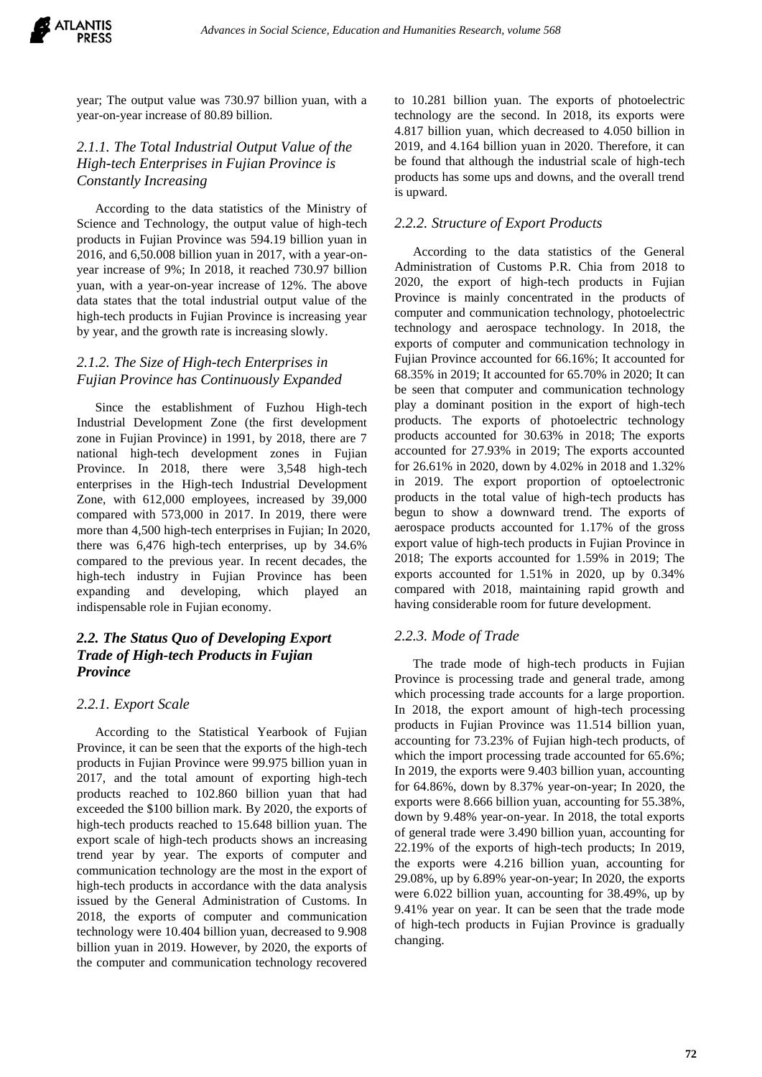year; The output value was 730.97 billion yuan, with a year-on-year increase of 80.89 billion.

## *2.1.1. The Total Industrial Output Value of the High-tech Enterprises in Fujian Province is Constantly Increasing*

According to the data statistics of the Ministry of Science and Technology, the output value of high-tech products in Fujian Province was 594.19 billion yuan in 2016, and 6,50.008 billion yuan in 2017, with a year-onyear increase of 9%; In 2018, it reached 730.97 billion yuan, with a year-on-year increase of 12%. The above data states that the total industrial output value of the high-tech products in Fujian Province is increasing year by year, and the growth rate is increasing slowly.

# *2.1.2. The Size of High-tech Enterprises in Fujian Province has Continuously Expanded*

Since the establishment of Fuzhou High-tech Industrial Development Zone (the first development zone in Fujian Province) in 1991, by 2018, there are 7 national high-tech development zones in Fujian Province. In 2018, there were 3,548 high-tech enterprises in the High-tech Industrial Development Zone, with 612,000 employees, increased by 39,000 compared with 573,000 in 2017. In 2019, there were more than 4,500 high-tech enterprises in Fujian; In 2020, there was 6,476 high-tech enterprises, up by 34.6% compared to the previous year. In recent decades, the high-tech industry in Fujian Province has been expanding and developing, which played an indispensable role in Fujian economy.

# *2.2. The Status Quo of Developing Export Trade of High-tech Products in Fujian Province*

#### *2.2.1. Export Scale*

According to the Statistical Yearbook of Fujian Province, it can be seen that the exports of the high-tech products in Fujian Province were 99.975 billion yuan in 2017, and the total amount of exporting high-tech products reached to 102.860 billion yuan that had exceeded the \$100 billion mark. By 2020, the exports of high-tech products reached to 15.648 billion yuan. The export scale of high-tech products shows an increasing trend year by year. The exports of computer and communication technology are the most in the export of high-tech products in accordance with the data analysis issued by the General Administration of Customs. In 2018, the exports of computer and communication technology were 10.404 billion yuan, decreased to 9.908 billion yuan in 2019. However, by 2020, the exports of the computer and communication technology recovered

to 10.281 billion yuan. The exports of photoelectric technology are the second. In 2018, its exports were 4.817 billion yuan, which decreased to 4.050 billion in 2019, and 4.164 billion yuan in 2020. Therefore, it can be found that although the industrial scale of high-tech products has some ups and downs, and the overall trend is upward.

## *2.2.2. Structure of Export Products*

According to the data statistics of the General Administration of Customs P.R. Chia from 2018 to 2020, the export of high-tech products in Fujian Province is mainly concentrated in the products of computer and communication technology, photoelectric technology and aerospace technology. In 2018, the exports of computer and communication technology in Fujian Province accounted for 66.16%; It accounted for 68.35% in 2019; It accounted for 65.70% in 2020; It can be seen that computer and communication technology play a dominant position in the export of high-tech products. The exports of photoelectric technology products accounted for 30.63% in 2018; The exports accounted for 27.93% in 2019; The exports accounted for 26.61% in 2020, down by 4.02% in 2018 and 1.32% in 2019. The export proportion of optoelectronic products in the total value of high-tech products has begun to show a downward trend. The exports of aerospace products accounted for 1.17% of the gross export value of high-tech products in Fujian Province in 2018; The exports accounted for 1.59% in 2019; The exports accounted for 1.51% in 2020, up by 0.34% compared with 2018, maintaining rapid growth and having considerable room for future development.

#### *2.2.3. Mode of Trade*

The trade mode of high-tech products in Fujian Province is processing trade and general trade, among which processing trade accounts for a large proportion. In 2018, the export amount of high-tech processing products in Fujian Province was 11.514 billion yuan, accounting for 73.23% of Fujian high-tech products, of which the import processing trade accounted for 65.6%; In 2019, the exports were 9.403 billion yuan, accounting for 64.86%, down by 8.37% year-on-year; In 2020, the exports were 8.666 billion yuan, accounting for 55.38%, down by 9.48% year-on-year. In 2018, the total exports of general trade were 3.490 billion yuan, accounting for 22.19% of the exports of high-tech products; In 2019, the exports were 4.216 billion yuan, accounting for 29.08%, up by 6.89% year-on-year; In 2020, the exports were 6.022 billion yuan, accounting for 38.49%, up by 9.41% year on year. It can be seen that the trade mode of high-tech products in Fujian Province is gradually changing.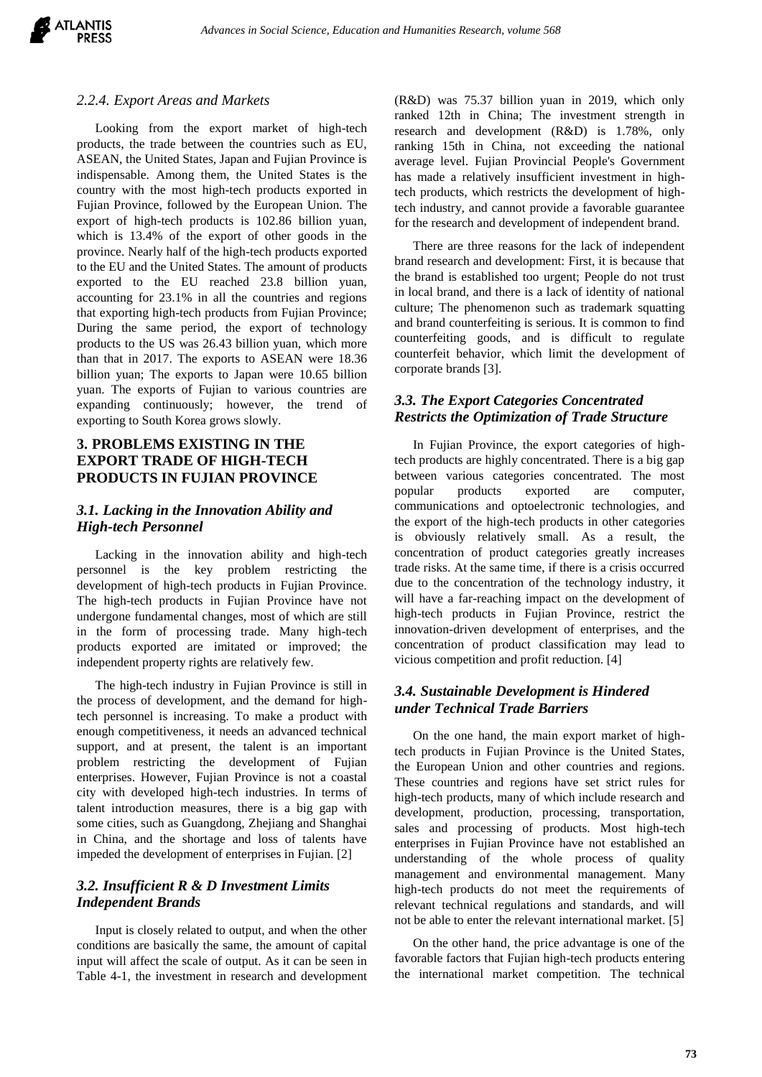#### *2.2.4. Export Areas and Markets*

Looking from the export market of high-tech products, the trade between the countries such as EU, ASEAN, the United States, Japan and Fujian Province is indispensable. Among them, the United States is the country with the most high-tech products exported in Fujian Province, followed by the European Union. The export of high-tech products is 102.86 billion yuan, which is 13.4% of the export of other goods in the province. Nearly half of the high-tech products exported to the EU and the United States. The amount of products exported to the EU reached 23.8 billion yuan, accounting for 23.1% in all the countries and regions that exporting high-tech products from Fujian Province; During the same period, the export of technology products to the US was 26.43 billion yuan, which more than that in 2017. The exports to ASEAN were 18.36 billion yuan; The exports to Japan were 10.65 billion yuan. The exports of Fujian to various countries are expanding continuously; however, the trend of exporting to South Korea grows slowly.

# **3. PROBLEMS EXISTING IN THE EXPORT TRADE OF HIGH-TECH PRODUCTS IN FUJIAN PROVINCE**

# *3.1. Lacking in the Innovation Ability and High-tech Personnel*

Lacking in the innovation ability and high-tech personnel is the key problem restricting the development of high-tech products in Fujian Province. The high-tech products in Fujian Province have not undergone fundamental changes, most of which are still in the form of processing trade. Many high-tech products exported are imitated or improved; the independent property rights are relatively few.

The high-tech industry in Fujian Province is still in the process of development, and the demand for hightech personnel is increasing. To make a product with enough competitiveness, it needs an advanced technical support, and at present, the talent is an important problem restricting the development of Fujian enterprises. However, Fujian Province is not a coastal city with developed high-tech industries. In terms of talent introduction measures, there is a big gap with some cities, such as Guangdong, Zhejiang and Shanghai in China, and the shortage and loss of talents have impeded the development of enterprises in Fujian. [2]

# *3.2. Insufficient R & D Investment Limits Independent Brands*

Input is closely related to output, and when the other conditions are basically the same, the amount of capital input will affect the scale of output. As it can be seen in Table 4-1, the investment in research and development (R&D) was 75.37 billion yuan in 2019, which only ranked 12th in China; The investment strength in research and development (R&D) is 1.78%, only ranking 15th in China, not exceeding the national average level. Fujian Provincial People's Government has made a relatively insufficient investment in hightech products, which restricts the development of hightech industry, and cannot provide a favorable guarantee for the research and development of independent brand.

There are three reasons for the lack of independent brand research and development: First, it is because that the brand is established too urgent; People do not trust in local brand, and there is a lack of identity of national culture; The phenomenon such as trademark squatting and brand counterfeiting is serious. It is common to find counterfeiting goods, and is difficult to regulate counterfeit behavior, which limit the development of corporate brands [3].

# *3.3. The Export Categories Concentrated Restricts the Optimization of Trade Structure*

In Fujian Province, the export categories of hightech products are highly concentrated. There is a big gap between various categories concentrated. The most popular products exported are computer, communications and optoelectronic technologies, and the export of the high-tech products in other categories is obviously relatively small. As a result, the concentration of product categories greatly increases trade risks. At the same time, if there is a crisis occurred due to the concentration of the technology industry, it will have a far-reaching impact on the development of high-tech products in Fujian Province, restrict the innovation-driven development of enterprises, and the concentration of product classification may lead to vicious competition and profit reduction. [4]

## *3.4. Sustainable Development is Hindered under Technical Trade Barriers*

On the one hand, the main export market of hightech products in Fujian Province is the United States, the European Union and other countries and regions. These countries and regions have set strict rules for high-tech products, many of which include research and development, production, processing, transportation, sales and processing of products. Most high-tech enterprises in Fujian Province have not established an understanding of the whole process of quality management and environmental management. Many high-tech products do not meet the requirements of relevant technical regulations and standards, and will not be able to enter the relevant international market. [5]

On the other hand, the price advantage is one of the favorable factors that Fujian high-tech products entering the international market competition. The technical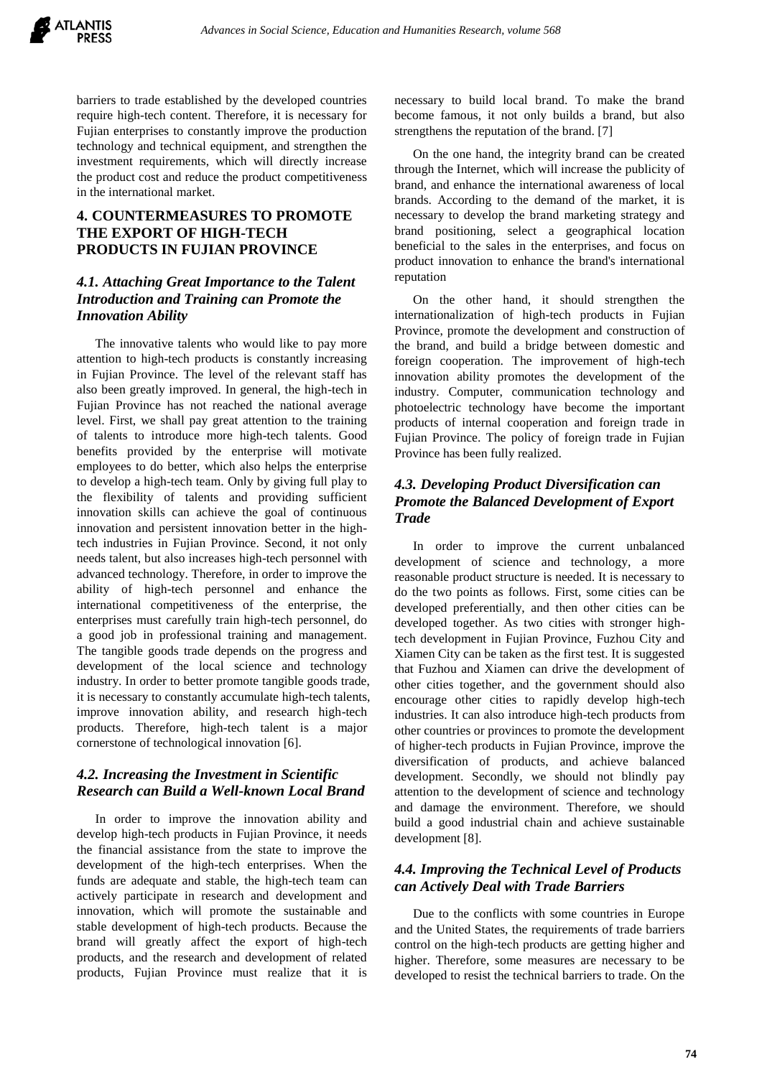

barriers to trade established by the developed countries require high-tech content. Therefore, it is necessary for Fujian enterprises to constantly improve the production technology and technical equipment, and strengthen the investment requirements, which will directly increase the product cost and reduce the product competitiveness in the international market.

# **4. COUNTERMEASURES TO PROMOTE THE EXPORT OF HIGH-TECH PRODUCTS IN FUJIAN PROVINCE**

## *4.1. Attaching Great Importance to the Talent Introduction and Training can Promote the Innovation Ability*

The innovative talents who would like to pay more attention to high-tech products is constantly increasing in Fujian Province. The level of the relevant staff has also been greatly improved. In general, the high-tech in Fujian Province has not reached the national average level. First, we shall pay great attention to the training of talents to introduce more high-tech talents. Good benefits provided by the enterprise will motivate employees to do better, which also helps the enterprise to develop a high-tech team. Only by giving full play to the flexibility of talents and providing sufficient innovation skills can achieve the goal of continuous innovation and persistent innovation better in the hightech industries in Fujian Province. Second, it not only needs talent, but also increases high-tech personnel with advanced technology. Therefore, in order to improve the ability of high-tech personnel and enhance the international competitiveness of the enterprise, the enterprises must carefully train high-tech personnel, do a good job in professional training and management. The tangible goods trade depends on the progress and development of the local science and technology industry. In order to better promote tangible goods trade, it is necessary to constantly accumulate high-tech talents, improve innovation ability, and research high-tech products. Therefore, high-tech talent is a major cornerstone of technological innovation [6].

## *4.2. Increasing the Investment in Scientific Research can Build a Well-known Local Brand*

In order to improve the innovation ability and develop high-tech products in Fujian Province, it needs the financial assistance from the state to improve the development of the high-tech enterprises. When the funds are adequate and stable, the high-tech team can actively participate in research and development and innovation, which will promote the sustainable and stable development of high-tech products. Because the brand will greatly affect the export of high-tech products, and the research and development of related products, Fujian Province must realize that it is necessary to build local brand. To make the brand become famous, it not only builds a brand, but also strengthens the reputation of the brand. [7]

On the one hand, the integrity brand can be created through the Internet, which will increase the publicity of brand, and enhance the international awareness of local brands. According to the demand of the market, it is necessary to develop the brand marketing strategy and brand positioning, select a geographical location beneficial to the sales in the enterprises, and focus on product innovation to enhance the brand's international reputation

On the other hand, it should strengthen the internationalization of high-tech products in Fujian Province, promote the development and construction of the brand, and build a bridge between domestic and foreign cooperation. The improvement of high-tech innovation ability promotes the development of the industry. Computer, communication technology and photoelectric technology have become the important products of internal cooperation and foreign trade in Fujian Province. The policy of foreign trade in Fujian Province has been fully realized.

# *4.3. Developing Product Diversification can Promote the Balanced Development of Export Trade*

In order to improve the current unbalanced development of science and technology, a more reasonable product structure is needed. It is necessary to do the two points as follows. First, some cities can be developed preferentially, and then other cities can be developed together. As two cities with stronger hightech development in Fujian Province, Fuzhou City and Xiamen City can be taken as the first test. It is suggested that Fuzhou and Xiamen can drive the development of other cities together, and the government should also encourage other cities to rapidly develop high-tech industries. It can also introduce high-tech products from other countries or provinces to promote the development of higher-tech products in Fujian Province, improve the diversification of products, and achieve balanced development. Secondly, we should not blindly pay attention to the development of science and technology and damage the environment. Therefore, we should build a good industrial chain and achieve sustainable development [8].

#### *4.4. Improving the Technical Level of Products can Actively Deal with Trade Barriers*

Due to the conflicts with some countries in Europe and the United States, the requirements of trade barriers control on the high-tech products are getting higher and higher. Therefore, some measures are necessary to be developed to resist the technical barriers to trade. On the